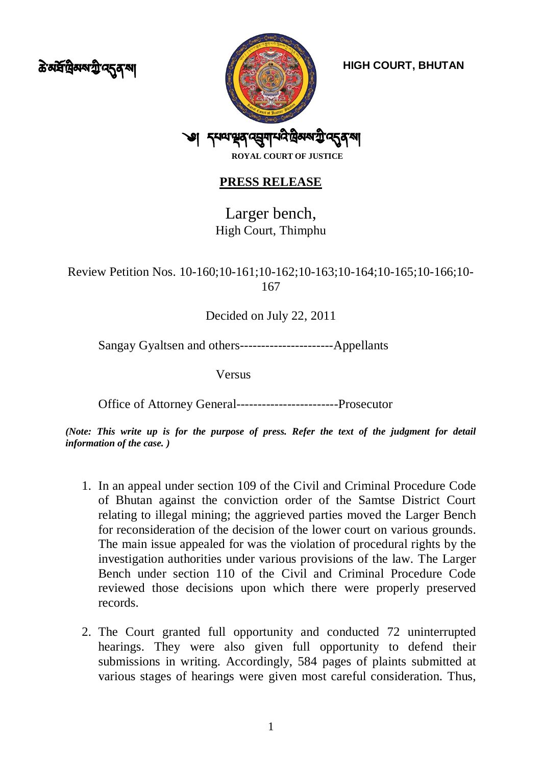<u>ক্ট মর্ষদ্রী</u> মন্ত্র মন্ত্র



## **PRESS RELEASE**

Larger bench, High Court, Thimphu

Review Petition Nos. 10-160;10-161;10-162;10-163;10-164;10-165;10-166;10- 167

Decided on July 22, 2011

Sangay Gyaltsen and others----------------------Appellants

Versus

Office of Attorney General------------------------Prosecutor

*(Note: This write up is for the purpose of press. Refer the text of the judgment for detail information of the case. )*

- 1. In an appeal under section 109 of the Civil and Criminal Procedure Code of Bhutan against the conviction order of the Samtse District Court relating to illegal mining; the aggrieved parties moved the Larger Bench for reconsideration of the decision of the lower court on various grounds. The main issue appealed for was the violation of procedural rights by the investigation authorities under various provisions of the law. The Larger Bench under section 110 of the Civil and Criminal Procedure Code reviewed those decisions upon which there were properly preserved records.
- 2. The Court granted full opportunity and conducted 72 uninterrupted hearings. They were also given full opportunity to defend their submissions in writing. Accordingly, 584 pages of plaints submitted at various stages of hearings were given most careful consideration. Thus,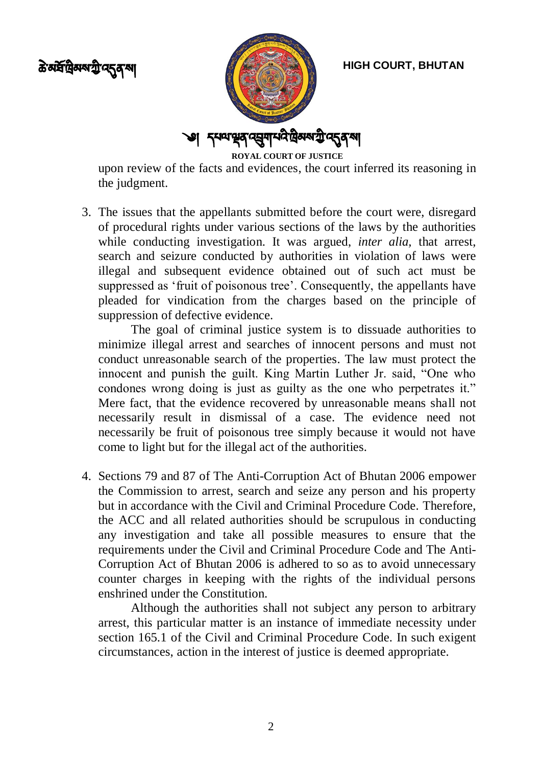



**HIGH COURT, BHUTAN**

upon review of the facts and evidences, the court inferred its reasoning in the judgment.

3. The issues that the appellants submitted before the court were, disregard of procedural rights under various sections of the laws by the authorities while conducting investigation. It was argued, *inter alia,* that arrest, search and seizure conducted by authorities in violation of laws were illegal and subsequent evidence obtained out of such act must be suppressed as 'fruit of poisonous tree'. Consequently, the appellants have pleaded for vindication from the charges based on the principle of suppression of defective evidence.

The goal of criminal justice system is to dissuade authorities to minimize illegal arrest and searches of innocent persons and must not conduct unreasonable search of the properties. The law must protect the innocent and punish the guilt. King Martin Luther Jr. said, "One who condones wrong doing is just as guilty as the one who perpetrates it." Mere fact, that the evidence recovered by unreasonable means shall not necessarily result in dismissal of a case. The evidence need not necessarily be fruit of poisonous tree simply because it would not have come to light but for the illegal act of the authorities.

4. Sections 79 and 87 of The Anti-Corruption Act of Bhutan 2006 empower the Commission to arrest, search and seize any person and his property but in accordance with the Civil and Criminal Procedure Code. Therefore, the ACC and all related authorities should be scrupulous in conducting any investigation and take all possible measures to ensure that the requirements under the Civil and Criminal Procedure Code and The Anti-Corruption Act of Bhutan 2006 is adhered to so as to avoid unnecessary counter charges in keeping with the rights of the individual persons enshrined under the Constitution.

Although the authorities shall not subject any person to arbitrary arrest, this particular matter is an instance of immediate necessity under section 165.1 of the Civil and Criminal Procedure Code. In such exigent circumstances, action in the interest of justice is deemed appropriate.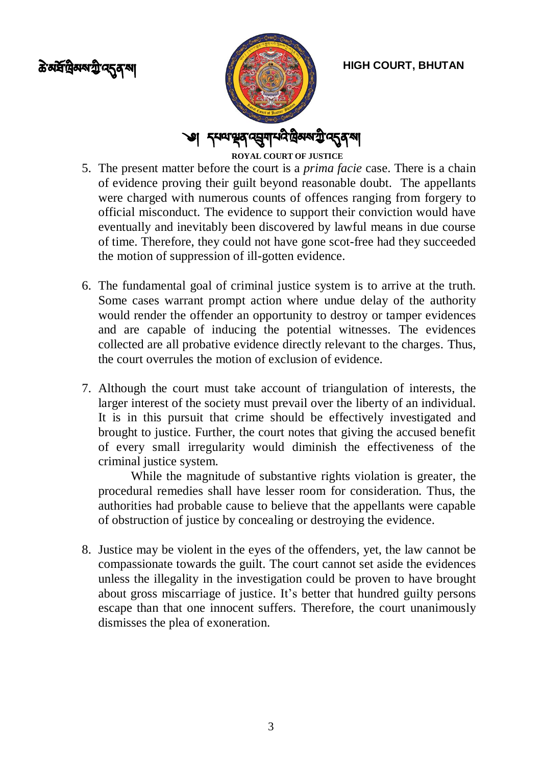<u>৯</u> মর্ষপ্রিমম্মন্ট ব্দ্রব্মা



**HIGH COURT, BHUTAN**

**ROYAL COURT OF JUSTICE**

- 5. The present matter before the court is a *prima facie* case. There is a chain of evidence proving their guilt beyond reasonable doubt. The appellants were charged with numerous counts of offences ranging from forgery to official misconduct. The evidence to support their conviction would have eventually and inevitably been discovered by lawful means in due course of time. Therefore, they could not have gone scot-free had they succeeded the motion of suppression of ill-gotten evidence.
- 6. The fundamental goal of criminal justice system is to arrive at the truth. Some cases warrant prompt action where undue delay of the authority would render the offender an opportunity to destroy or tamper evidences and are capable of inducing the potential witnesses. The evidences collected are all probative evidence directly relevant to the charges. Thus, the court overrules the motion of exclusion of evidence.
- 7. Although the court must take account of triangulation of interests, the larger interest of the society must prevail over the liberty of an individual. It is in this pursuit that crime should be effectively investigated and brought to justice. Further, the court notes that giving the accused benefit of every small irregularity would diminish the effectiveness of the criminal justice system.

While the magnitude of substantive rights violation is greater, the procedural remedies shall have lesser room for consideration. Thus, the authorities had probable cause to believe that the appellants were capable of obstruction of justice by concealing or destroying the evidence.

8. Justice may be violent in the eyes of the offenders, yet, the law cannot be compassionate towards the guilt. The court cannot set aside the evidences unless the illegality in the investigation could be proven to have brought about gross miscarriage of justice. It's better that hundred guilty persons escape than that one innocent suffers*.* Therefore, the court unanimously dismisses the plea of exoneration.